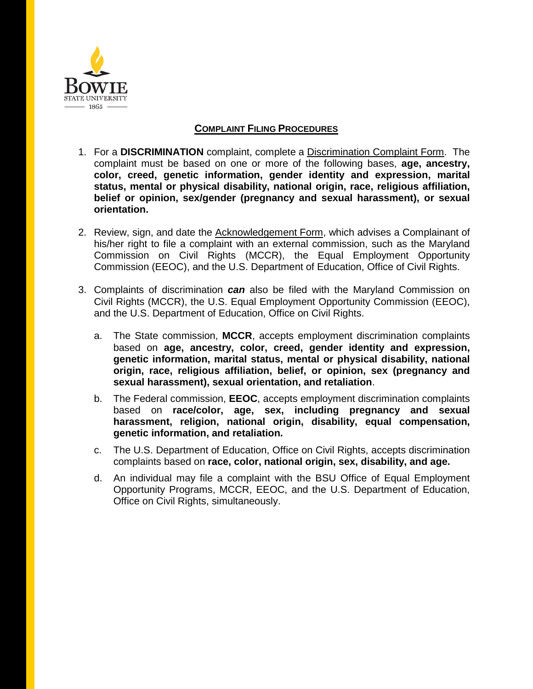

## **COMPLAINT FILING PROCEDURES**

- 1. For a **DISCRIMINATION** complaint, complete a Discrimination Complaint Form. The complaint must be based on one or more of the following bases, **age, ancestry, color, creed, genetic information, gender identity and expression, marital status, mental or physical disability, national origin, race, religious affiliation, belief or opinion, sex/gender (pregnancy and sexual harassment), or sexual orientation.**
- 2. Review, sign, and date the Acknowledgement Form, which advises a Complainant of his/her right to file a complaint with an external commission, such as the Maryland Commission on Civil Rights (MCCR), the Equal Employment Opportunity Commission (EEOC), and the U.S. Department of Education, Office of Civil Rights.
- 3. Complaints of discrimination *can* also be filed with the Maryland Commission on Civil Rights (MCCR), the U.S. Equal Employment Opportunity Commission (EEOC), and the U.S. Department of Education, Office on Civil Rights.
	- a. The State commission, **MCCR**, accepts employment discrimination complaints based on **age, ancestry, color, creed, gender identity and expression, genetic information, marital status, mental or physical disability, national origin, race, religious affiliation, belief, or opinion, sex (pregnancy and sexual harassment), sexual orientation, and retaliation**.
	- b. The Federal commission, **EEOC**, accepts employment discrimination complaints based on **race/color, age, sex, including pregnancy and sexual harassment, religion, national origin, disability, equal compensation, genetic information, and retaliation.**
	- c. The U.S. Department of Education, Office on Civil Rights, accepts discrimination complaints based on **race, color, national origin, sex, disability, and age.**
	- d. An individual may file a complaint with the BSU Office of Equal Employment Opportunity Programs, MCCR, EEOC, and the U.S. Department of Education, Office on Civil Rights, simultaneously.